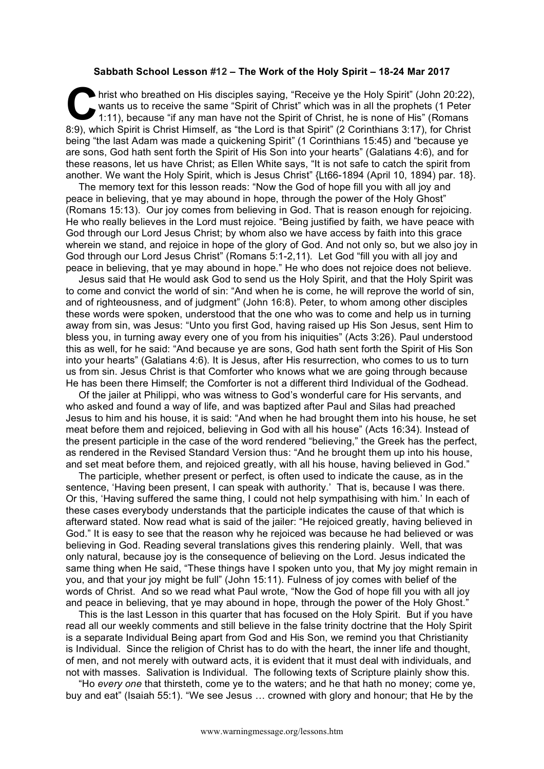## **Sabbath School Lesson #12 – The Work of the Holy Spirit – 18-24 Mar 2017**

hrist who breathed on His disciples saying, "Receive ye the Holy Spirit" (John 20:22), wants us to receive the same "Spirit of Christ" which was in all the prophets (1 Peter 1:11), because "if any man have not the Spirit of Christ, he is none of His" (Romans 8:9), which Spirit is Christ Himself, as "the Lord is that Spirit" (2 Corinthians 3:17), for Christ Spirit is Christ Himself, as "the Lord is that Spirit" (2 Corinthians 3:17), for Christ being "the last Adam was made a quickening Spirit" (1 Corinthians 15:45) and "because ye are sons, God hath sent forth the Spirit of His Son into your hearts" (Galatians 4:6), and for these reasons, let us have Christ; as Ellen White says, "It is not safe to catch the spirit from another. We want the Holy Spirit, which is Jesus Christ" {Lt66-1894 (April 10, 1894) par. 18}.

The memory text for this lesson reads: "Now the God of hope fill you with all joy and peace in believing, that ye may abound in hope, through the power of the Holy Ghost" (Romans 15:13). Our joy comes from believing in God. That is reason enough for rejoicing. He who really believes in the Lord must rejoice. "Being justified by faith, we have peace with God through our Lord Jesus Christ; by whom also we have access by faith into this grace wherein we stand, and rejoice in hope of the glory of God. And not only so, but we also joy in God through our Lord Jesus Christ" (Romans 5:1-2,11). Let God "fill you with all joy and peace in believing, that ye may abound in hope." He who does not rejoice does not believe.

Jesus said that He would ask God to send us the Holy Spirit, and that the Holy Spirit was to come and convict the world of sin: "And when he is come, he will reprove the world of sin, and of righteousness, and of judgment" (John 16:8). Peter, to whom among other disciples these words were spoken, understood that the one who was to come and help us in turning away from sin, was Jesus: "Unto you first God, having raised up His Son Jesus, sent Him to bless you, in turning away every one of you from his iniquities" (Acts 3:26). Paul understood this as well, for he said: "And because ye are sons, God hath sent forth the Spirit of His Son into your hearts" (Galatians 4:6). It is Jesus, after His resurrection, who comes to us to turn us from sin. Jesus Christ is that Comforter who knows what we are going through because He has been there Himself; the Comforter is not a different third Individual of the Godhead.

Of the jailer at Philippi, who was witness to God's wonderful care for His servants, and who asked and found a way of life, and was baptized after Paul and Silas had preached Jesus to him and his house, it is said: "And when he had brought them into his house, he set meat before them and rejoiced, believing in God with all his house" (Acts 16:34). Instead of the present participle in the case of the word rendered "believing," the Greek has the perfect, as rendered in the Revised Standard Version thus: "And he brought them up into his house, and set meat before them, and rejoiced greatly, with all his house, having believed in God."

The participle, whether present or perfect, is often used to indicate the cause, as in the sentence, 'Having been present, I can speak with authority.' That is, because I was there. Or this, 'Having suffered the same thing, I could not help sympathising with him.' In each of these cases everybody understands that the participle indicates the cause of that which is afterward stated. Now read what is said of the jailer: "He rejoiced greatly, having believed in God." It is easy to see that the reason why he rejoiced was because he had believed or was believing in God. Reading several translations gives this rendering plainly. Well, that was only natural, because joy is the consequence of believing on the Lord. Jesus indicated the same thing when He said, "These things have I spoken unto you, that My joy might remain in you, and that your joy might be full" (John 15:11). Fulness of joy comes with belief of the words of Christ. And so we read what Paul wrote, "Now the God of hope fill you with all joy and peace in believing, that ye may abound in hope, through the power of the Holy Ghost."

This is the last Lesson in this quarter that has focused on the Holy Spirit. But if you have read all our weekly comments and still believe in the false trinity doctrine that the Holy Spirit is a separate Individual Being apart from God and His Son, we remind you that Christianity is Individual. Since the religion of Christ has to do with the heart, the inner life and thought, of men, and not merely with outward acts, it is evident that it must deal with individuals, and not with masses. Salivation is Individual. The following texts of Scripture plainly show this.

"Ho *every one* that thirsteth, come ye to the waters; and he that hath no money; come ye, buy and eat" (Isaiah 55:1). "We see Jesus … crowned with glory and honour; that He by the